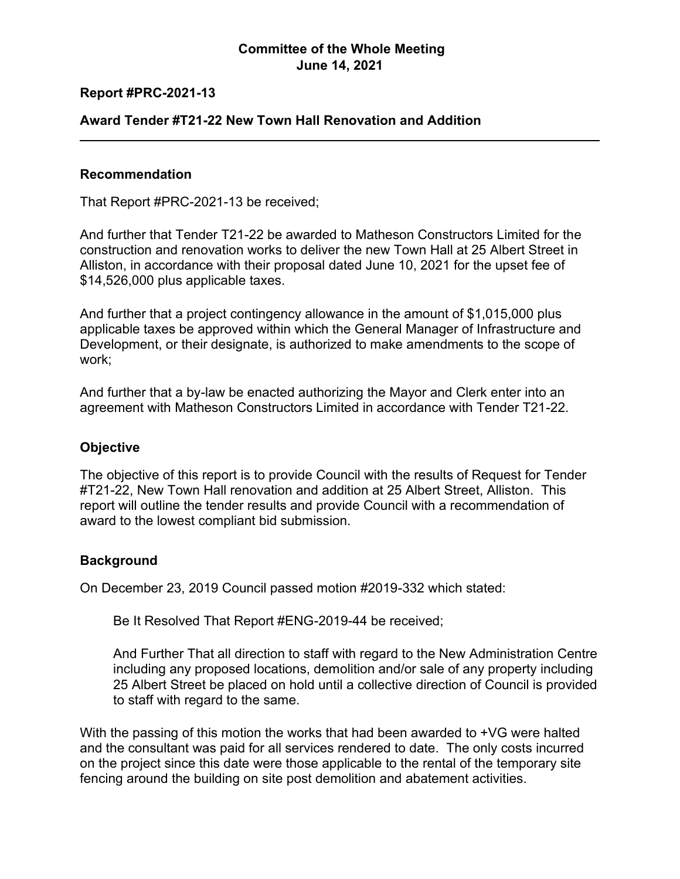# **Committee of the Whole Meeting June 14, 2021**

#### **Report #PRC-2021-13**

### **Award Tender #T21-22 New Town Hall Renovation and Addition**

#### **Recommendation**

That Report #PRC-2021-13 be received;

And further that Tender T21-22 be awarded to Matheson Constructors Limited for the construction and renovation works to deliver the new Town Hall at 25 Albert Street in Alliston, in accordance with their proposal dated June 10, 2021 for the upset fee of \$14,526,000 plus applicable taxes.

And further that a project contingency allowance in the amount of \$1,015,000 plus applicable taxes be approved within which the General Manager of Infrastructure and Development, or their designate, is authorized to make amendments to the scope of work;

And further that a by-law be enacted authorizing the Mayor and Clerk enter into an agreement with Matheson Constructors Limited in accordance with Tender T21-22.

#### **Objective**

The objective of this report is to provide Council with the results of Request for Tender #T21-22, New Town Hall renovation and addition at 25 Albert Street, Alliston. This report will outline the tender results and provide Council with a recommendation of award to the lowest compliant bid submission.

#### **Background**

On December 23, 2019 Council passed motion #2019-332 which stated:

Be It Resolved That Report #ENG-2019-44 be received;

And Further That all direction to staff with regard to the New Administration Centre including any proposed locations, demolition and/or sale of any property including 25 Albert Street be placed on hold until a collective direction of Council is provided to staff with regard to the same.

With the passing of this motion the works that had been awarded to +VG were halted and the consultant was paid for all services rendered to date. The only costs incurred on the project since this date were those applicable to the rental of the temporary site fencing around the building on site post demolition and abatement activities.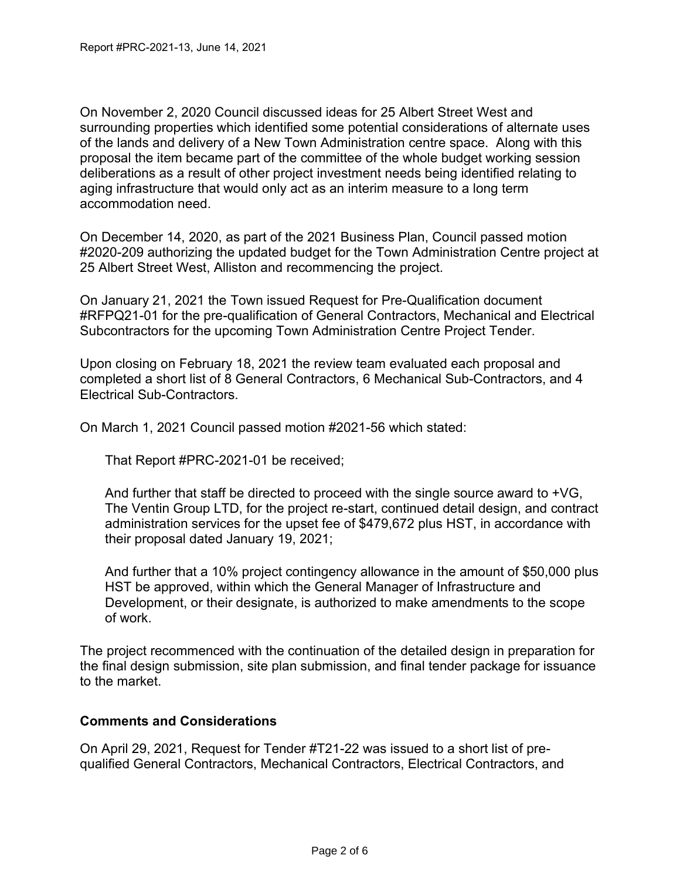On November 2, 2020 Council discussed ideas for 25 Albert Street West and surrounding properties which identified some potential considerations of alternate uses of the lands and delivery of a New Town Administration centre space. Along with this proposal the item became part of the committee of the whole budget working session deliberations as a result of other project investment needs being identified relating to aging infrastructure that would only act as an interim measure to a long term accommodation need.

On December 14, 2020, as part of the 2021 Business Plan, Council passed motion #2020-209 authorizing the updated budget for the Town Administration Centre project at 25 Albert Street West, Alliston and recommencing the project.

On January 21, 2021 the Town issued Request for Pre-Qualification document #RFPQ21-01 for the pre-qualification of General Contractors, Mechanical and Electrical Subcontractors for the upcoming Town Administration Centre Project Tender.

Upon closing on February 18, 2021 the review team evaluated each proposal and completed a short list of 8 General Contractors, 6 Mechanical Sub-Contractors, and 4 Electrical Sub-Contractors.

On March 1, 2021 Council passed motion #2021-56 which stated:

That Report #PRC-2021-01 be received;

And further that staff be directed to proceed with the single source award to +VG, The Ventin Group LTD, for the project re-start, continued detail design, and contract administration services for the upset fee of \$479,672 plus HST, in accordance with their proposal dated January 19, 2021;

And further that a 10% project contingency allowance in the amount of \$50,000 plus HST be approved, within which the General Manager of Infrastructure and Development, or their designate, is authorized to make amendments to the scope of work.

The project recommenced with the continuation of the detailed design in preparation for the final design submission, site plan submission, and final tender package for issuance to the market.

## **Comments and Considerations**

On April 29, 2021, Request for Tender #T21-22 was issued to a short list of prequalified General Contractors, Mechanical Contractors, Electrical Contractors, and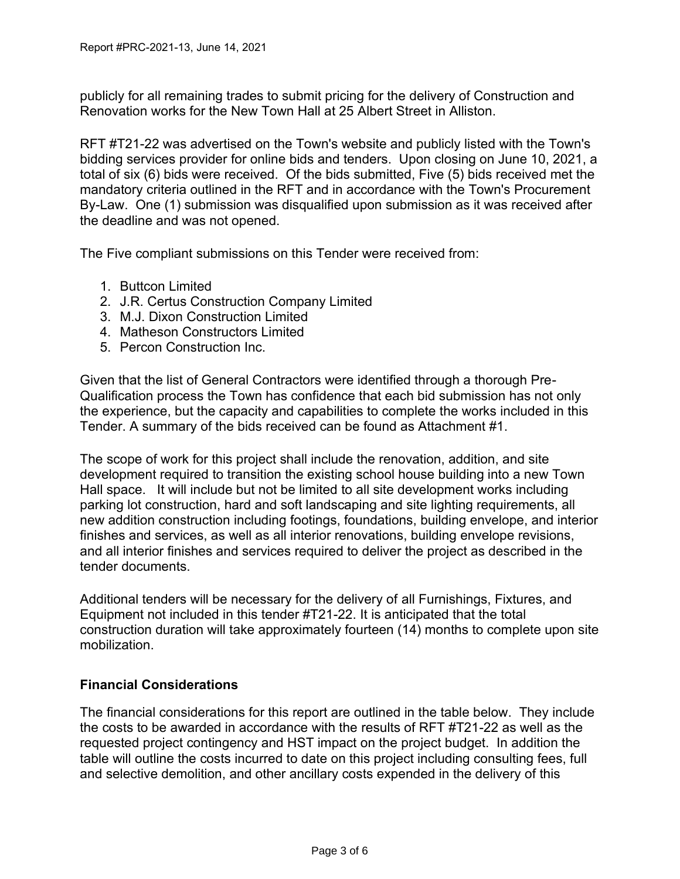publicly for all remaining trades to submit pricing for the delivery of Construction and Renovation works for the New Town Hall at 25 Albert Street in Alliston.

RFT #T21-22 was advertised on the Town's website and publicly listed with the Town's bidding services provider for online bids and tenders. Upon closing on June 10, 2021, a total of six (6) bids were received. Of the bids submitted, Five (5) bids received met the mandatory criteria outlined in the RFT and in accordance with the Town's Procurement By-Law. One (1) submission was disqualified upon submission as it was received after the deadline and was not opened.

The Five compliant submissions on this Tender were received from:

- 1. Buttcon Limited
- 2. J.R. Certus Construction Company Limited
- 3. M.J. Dixon Construction Limited
- 4. Matheson Constructors Limited
- 5. Percon Construction Inc.

Given that the list of General Contractors were identified through a thorough Pre-Qualification process the Town has confidence that each bid submission has not only the experience, but the capacity and capabilities to complete the works included in this Tender. A summary of the bids received can be found as Attachment #1.

The scope of work for this project shall include the renovation, addition, and site development required to transition the existing school house building into a new Town Hall space. It will include but not be limited to all site development works including parking lot construction, hard and soft landscaping and site lighting requirements, all new addition construction including footings, foundations, building envelope, and interior finishes and services, as well as all interior renovations, building envelope revisions, and all interior finishes and services required to deliver the project as described in the tender documents.

Additional tenders will be necessary for the delivery of all Furnishings, Fixtures, and Equipment not included in this tender #T21-22. It is anticipated that the total construction duration will take approximately fourteen (14) months to complete upon site mobilization.

# **Financial Considerations**

The financial considerations for this report are outlined in the table below. They include the costs to be awarded in accordance with the results of RFT #T21-22 as well as the requested project contingency and HST impact on the project budget. In addition the table will outline the costs incurred to date on this project including consulting fees, full and selective demolition, and other ancillary costs expended in the delivery of this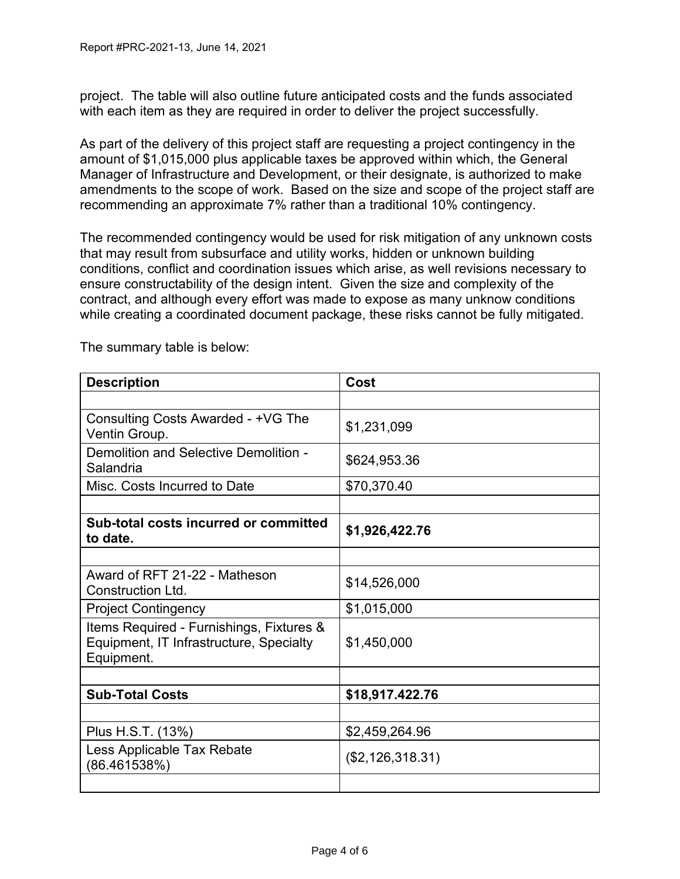project. The table will also outline future anticipated costs and the funds associated with each item as they are required in order to deliver the project successfully.

As part of the delivery of this project staff are requesting a project contingency in the amount of \$1,015,000 plus applicable taxes be approved within which, the General Manager of Infrastructure and Development, or their designate, is authorized to make amendments to the scope of work. Based on the size and scope of the project staff are recommending an approximate 7% rather than a traditional 10% contingency.

The recommended contingency would be used for risk mitigation of any unknown costs that may result from subsurface and utility works, hidden or unknown building conditions, conflict and coordination issues which arise, as well revisions necessary to ensure constructability of the design intent. Given the size and complexity of the contract, and although every effort was made to expose as many unknow conditions while creating a coordinated document package, these risks cannot be fully mitigated.

| <b>Description</b>                                                                                | Cost             |
|---------------------------------------------------------------------------------------------------|------------------|
|                                                                                                   |                  |
| Consulting Costs Awarded - +VG The<br>Ventin Group.                                               | \$1,231,099      |
| Demolition and Selective Demolition -<br>Salandria                                                | \$624,953.36     |
| Misc. Costs Incurred to Date                                                                      | \$70,370.40      |
|                                                                                                   |                  |
| Sub-total costs incurred or committed<br>to date.                                                 | \$1,926,422.76   |
|                                                                                                   |                  |
| Award of RFT 21-22 - Matheson<br>Construction Ltd.                                                | \$14,526,000     |
| <b>Project Contingency</b>                                                                        | \$1,015,000      |
| Items Required - Furnishings, Fixtures &<br>Equipment, IT Infrastructure, Specialty<br>Equipment. | \$1,450,000      |
|                                                                                                   |                  |
| <b>Sub-Total Costs</b>                                                                            | \$18,917.422.76  |
|                                                                                                   |                  |
| Plus H.S.T. (13%)                                                                                 | \$2,459,264.96   |
| Less Applicable Tax Rebate<br>(86.461538%)                                                        | (\$2,126,318.31) |
|                                                                                                   |                  |

The summary table is below: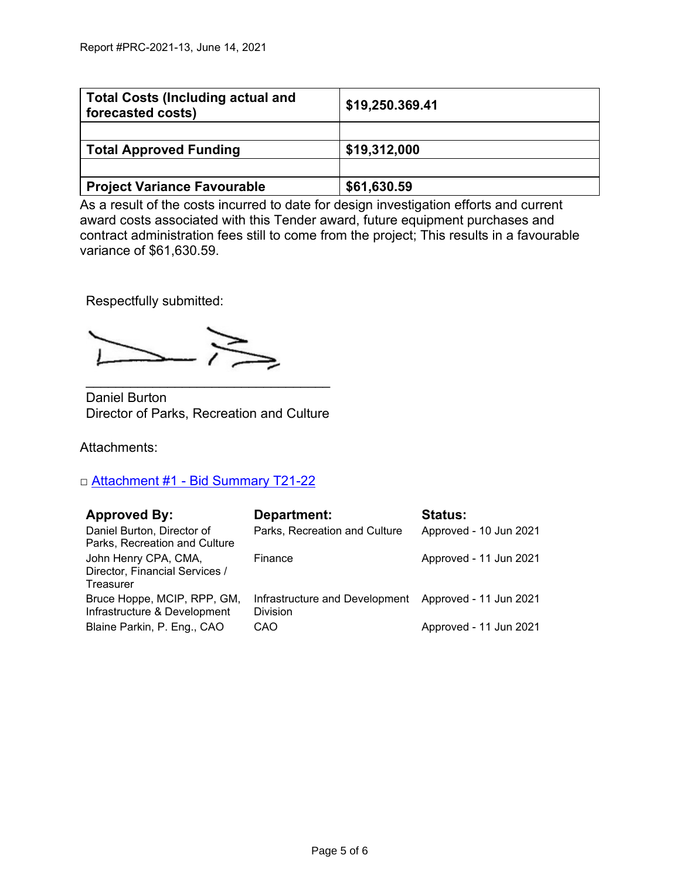| <b>Total Costs (Including actual and</b><br>forecasted costs) | \$19,250.369.41 |  |
|---------------------------------------------------------------|-----------------|--|
| <b>Total Approved Funding</b>                                 | \$19,312,000    |  |
| <b>Project Variance Favourable</b>                            | \$61,630.59     |  |

As a result of the costs incurred to date for design investigation efforts and current award costs associated with this Tender award, future equipment purchases and contract administration fees still to come from the project; This results in a favourable variance of \$61,630.59.

Respectfully submitted:

 $\gtrapprox$ 

Daniel Burton Director of Parks, Recreation and Culture

\_\_\_\_\_\_\_\_\_\_\_\_\_\_\_\_\_\_\_\_\_\_\_\_\_\_\_\_\_\_\_\_\_

Attachments:

# □ Attachment #1 - [Bid Summary T21-22](#page-5-0)

| <b>Approved By:</b>                                                 | Department:                                                       | <b>Status:</b>         |
|---------------------------------------------------------------------|-------------------------------------------------------------------|------------------------|
| Daniel Burton, Director of<br>Parks, Recreation and Culture         | Parks, Recreation and Culture                                     | Approved - 10 Jun 2021 |
| John Henry CPA, CMA,<br>Director, Financial Services /<br>Treasurer | Finance                                                           | Approved - 11 Jun 2021 |
| Bruce Hoppe, MCIP, RPP, GM,<br>Infrastructure & Development         | Infrastructure and Development Approved - 11 Jun 2021<br>Division |                        |
| Blaine Parkin, P. Eng., CAO                                         | CAO                                                               | Approved - 11 Jun 2021 |